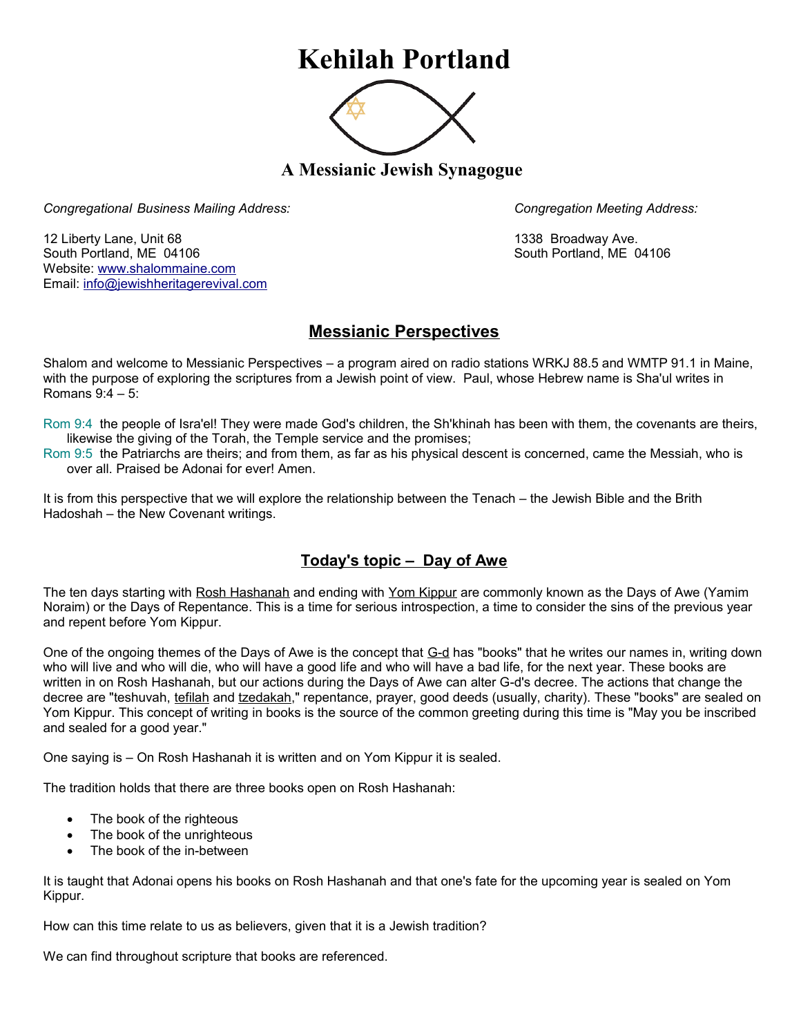## **Kehilah Portland**



**A Messianic Jewish Synagogue** 

*Congregational Business Mailing Address: Congregation Meeting Address:*

12 Liberty Lane, Unit 68 1338 Broadway Ave. South Portland, ME 04106 South Portland, ME 04106 Website: [www.shalommaine.com](http://www.shalommaine.com/) Email: [info@jewishheritagerevival.com](mailto:info@jewishheritagerevival.com) 

## **Messianic Perspectives**

Shalom and welcome to Messianic Perspectives – a program aired on radio stations WRKJ 88.5 and WMTP 91.1 in Maine, with the purpose of exploring the scriptures from a Jewish point of view. Paul, whose Hebrew name is Sha'ul writes in Romans 9:4 – 5:

Rom 9:4 the people of Isra'el! They were made God's children, the Sh'khinah has been with them, the covenants are theirs, likewise the giving of the Torah, the Temple service and the promises;

Rom 9:5 the Patriarchs are theirs; and from them, as far as his physical descent is concerned, came the Messiah, who is over all. Praised be Adonai for ever! Amen.

It is from this perspective that we will explore the relationship between the Tenach – the Jewish Bible and the Brith Hadoshah – the New Covenant writings.

## **Today's topic – Day of Awe**

The ten days starting with [Rosh Hashanah](http://www.jewfaq.org/defs/rosh.htm) and ending with [Yom Kippur](http://www.jewfaq.org/defs/yomkippur.htm) are commonly known as the Days of Awe (Yamim Noraim) or the Days of Repentance. This is a time for serious introspection, a time to consider the sins of the previous year and repent before Yom Kippur.

One of the ongoing themes of the Days of Awe is the concept that [G-d](http://www.jewfaq.org/defs/g-d.htm) has "books" that he writes our names in, writing down who will live and who will die, who will have a good life and who will have a bad life, for the next year. These books are written in on Rosh Hashanah, but our actions during the Days of Awe can alter G-d's decree. The actions that change the decree are "teshuvah, [tefilah](http://www.jewfaq.org/defs/tefilah.htm) and [tzedakah,](http://www.jewfaq.org/defs/tzedakah.htm)" repentance, prayer, good deeds (usually, charity). These "books" are sealed on Yom Kippur. This concept of writing in books is the source of the common greeting during this time is "May you be inscribed and sealed for a good year."

One saying is – On Rosh Hashanah it is written and on Yom Kippur it is sealed.

The tradition holds that there are three books open on Rosh Hashanah:

- The book of the righteous
- The book of the unrighteous
- The book of the in-between

It is taught that Adonai opens his books on Rosh Hashanah and that one's fate for the upcoming year is sealed on Yom Kippur.

How can this time relate to us as believers, given that it is a Jewish tradition?

We can find throughout scripture that books are referenced.